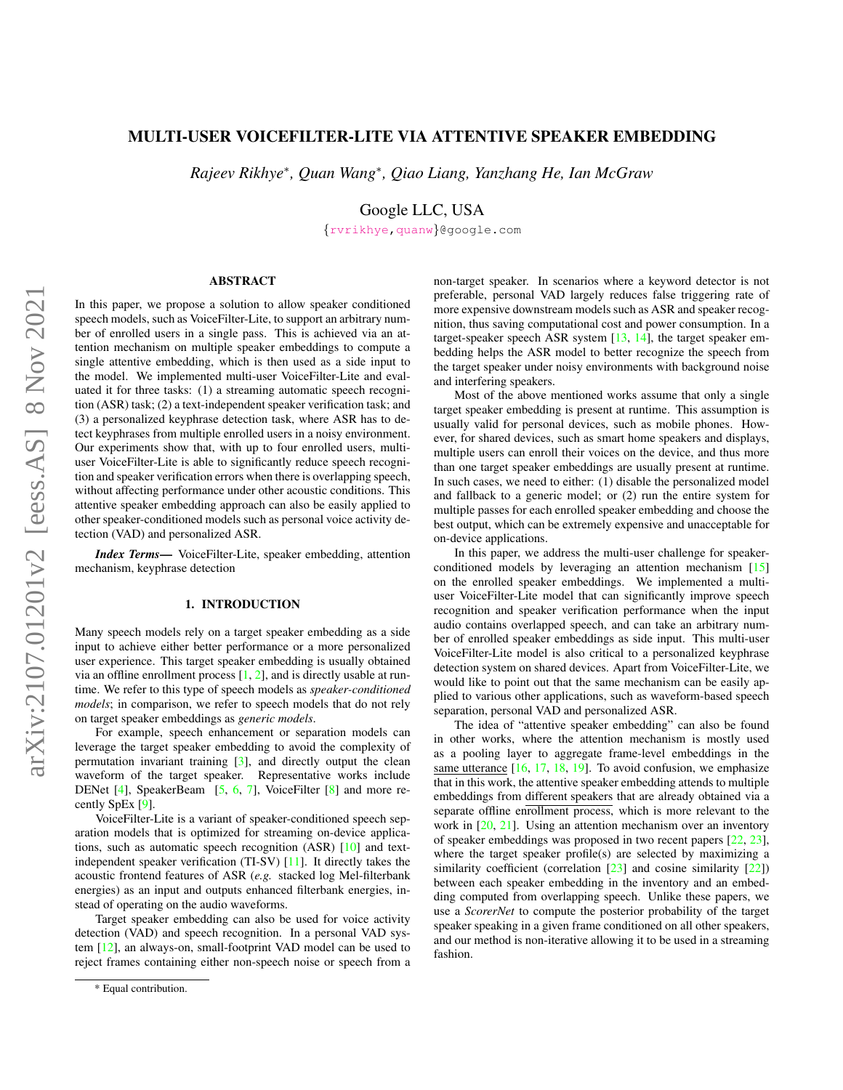# MULTI-USER VOICEFILTER-LITE VIA ATTENTIVE SPEAKER EMBEDDING

*Rajeev Rikhye*<sup>∗</sup> *, Quan Wang*<sup>∗</sup> *, Qiao Liang, Yanzhang He, Ian McGraw*

Google LLC, USA

{[rvrikhye](mailto:rvrikhye@google.com)[,quanw](mailto:quanw@google.com)}@google.com

# ABSTRACT

In this paper, we propose a solution to allow speaker conditioned speech models, such as VoiceFilter-Lite, to support an arbitrary number of enrolled users in a single pass. This is achieved via an attention mechanism on multiple speaker embeddings to compute a single attentive embedding, which is then used as a side input to the model. We implemented multi-user VoiceFilter-Lite and evaluated it for three tasks: (1) a streaming automatic speech recognition (ASR) task; (2) a text-independent speaker verification task; and (3) a personalized keyphrase detection task, where ASR has to detect keyphrases from multiple enrolled users in a noisy environment. Our experiments show that, with up to four enrolled users, multiuser VoiceFilter-Lite is able to significantly reduce speech recognition and speaker verification errors when there is overlapping speech, without affecting performance under other acoustic conditions. This attentive speaker embedding approach can also be easily applied to other speaker-conditioned models such as personal voice activity detection (VAD) and personalized ASR.

*Index Terms*— VoiceFilter-Lite, speaker embedding, attention mechanism, keyphrase detection

# 1. INTRODUCTION

Many speech models rely on a target speaker embedding as a side input to achieve either better performance or a more personalized user experience. This target speaker embedding is usually obtained via an offline enrollment process  $[1, 2]$  $[1, 2]$  $[1, 2]$ , and is directly usable at runtime. We refer to this type of speech models as *speaker-conditioned models*; in comparison, we refer to speech models that do not rely on target speaker embeddings as *generic models*.

For example, speech enhancement or separation models can leverage the target speaker embedding to avoid the complexity of permutation invariant training [\[3\]](#page-6-2), and directly output the clean waveform of the target speaker. Representative works include DENet [\[4\]](#page-6-3), SpeakerBeam [\[5,](#page-6-4) [6,](#page-6-5) [7\]](#page-6-6), VoiceFilter [\[8\]](#page-6-7) and more recently SpEx [\[9\]](#page-6-8).

VoiceFilter-Lite is a variant of speaker-conditioned speech separation models that is optimized for streaming on-device applications, such as automatic speech recognition (ASR) [\[10\]](#page-6-9) and textindependent speaker verification (TI-SV) [\[11\]](#page-6-10). It directly takes the acoustic frontend features of ASR (*e.g.* stacked log Mel-filterbank energies) as an input and outputs enhanced filterbank energies, instead of operating on the audio waveforms.

Target speaker embedding can also be used for voice activity detection (VAD) and speech recognition. In a personal VAD system [\[12\]](#page-6-11), an always-on, small-footprint VAD model can be used to reject frames containing either non-speech noise or speech from a non-target speaker. In scenarios where a keyword detector is not preferable, personal VAD largely reduces false triggering rate of more expensive downstream models such as ASR and speaker recognition, thus saving computational cost and power consumption. In a target-speaker speech ASR system  $[13, 14]$  $[13, 14]$  $[13, 14]$ , the target speaker embedding helps the ASR model to better recognize the speech from the target speaker under noisy environments with background noise and interfering speakers.

Most of the above mentioned works assume that only a single target speaker embedding is present at runtime. This assumption is usually valid for personal devices, such as mobile phones. However, for shared devices, such as smart home speakers and displays, multiple users can enroll their voices on the device, and thus more than one target speaker embeddings are usually present at runtime. In such cases, we need to either: (1) disable the personalized model and fallback to a generic model; or (2) run the entire system for multiple passes for each enrolled speaker embedding and choose the best output, which can be extremely expensive and unacceptable for on-device applications.

In this paper, we address the multi-user challenge for speakerconditioned models by leveraging an attention mechanism [\[15\]](#page-6-14) on the enrolled speaker embeddings. We implemented a multiuser VoiceFilter-Lite model that can significantly improve speech recognition and speaker verification performance when the input audio contains overlapped speech, and can take an arbitrary number of enrolled speaker embeddings as side input. This multi-user VoiceFilter-Lite model is also critical to a personalized keyphrase detection system on shared devices. Apart from VoiceFilter-Lite, we would like to point out that the same mechanism can be easily applied to various other applications, such as waveform-based speech separation, personal VAD and personalized ASR.

The idea of "attentive speaker embedding" can also be found in other works, where the attention mechanism is mostly used as a pooling layer to aggregate frame-level embeddings in the same utterance [\[16,](#page-6-15) [17,](#page-6-16) [18,](#page-6-17) [19\]](#page-6-18). To avoid confusion, we emphasize that in this work, the attentive speaker embedding attends to multiple embeddings from different speakers that are already obtained via a separate offline enrollment process, which is more relevant to the work in [\[20,](#page-6-19) [21\]](#page-6-20). Using an attention mechanism over an inventory of speaker embeddings was proposed in two recent papers [\[22,](#page-6-21) [23\]](#page-6-22), where the target speaker profile(s) are selected by maximizing a similarity coefficient (correlation [\[23\]](#page-6-22) and cosine similarity [\[22\]](#page-6-21)) between each speaker embedding in the inventory and an embedding computed from overlapping speech. Unlike these papers, we use a *ScorerNet* to compute the posterior probability of the target speaker speaking in a given frame conditioned on all other speakers, and our method is non-iterative allowing it to be used in a streaming fashion.

<sup>\*</sup> Equal contribution.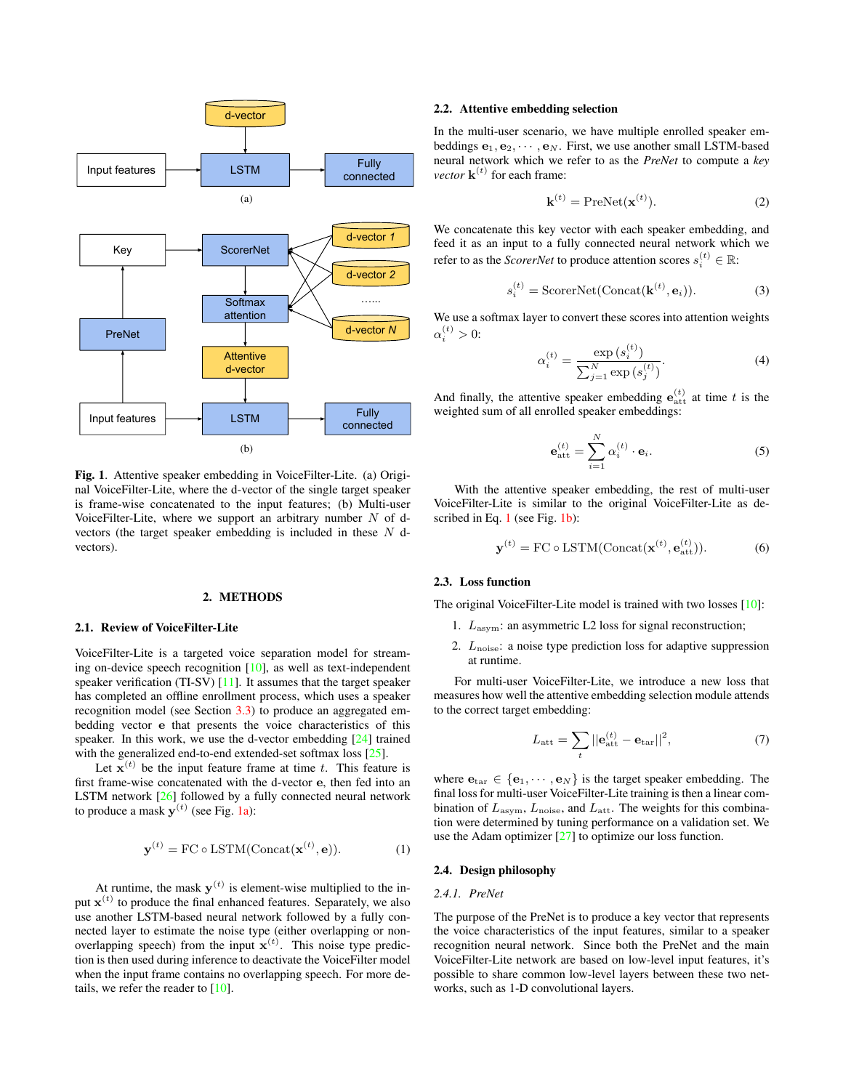<span id="page-1-0"></span>

<span id="page-1-2"></span>Fig. 1. Attentive speaker embedding in VoiceFilter-Lite. (a) Original VoiceFilter-Lite, where the d-vector of the single target speaker is frame-wise concatenated to the input features; (b) Multi-user VoiceFilter-Lite, where we support an arbitrary number  $N$  of dvectors (the target speaker embedding is included in these N dvectors).

### 2. METHODS

#### 2.1. Review of VoiceFilter-Lite

VoiceFilter-Lite is a targeted voice separation model for streaming on-device speech recognition [\[10\]](#page-6-9), as well as text-independent speaker verification (TI-SV) [\[11\]](#page-6-10). It assumes that the target speaker has completed an offline enrollment process, which uses a speaker recognition model (see Section [3.3\)](#page-3-0) to produce an aggregated embedding vector e that presents the voice characteristics of this speaker. In this work, we use the d-vector embedding [\[24\]](#page-6-23) trained with the generalized end-to-end extended-set softmax loss [\[25\]](#page-6-24).

Let  $\mathbf{x}^{(t)}$  be the input feature frame at time t. This feature is first frame-wise concatenated with the d-vector e, then fed into an LSTM network [\[26\]](#page-6-25) followed by a fully connected neural network to produce a mask  $y^{(t)}$  (see Fig. [1a\)](#page-1-0):

<span id="page-1-1"></span>
$$
\mathbf{y}^{(t)} = \text{FC} \circ \text{LSTM}(\text{Concat}(\mathbf{x}^{(t)}, \mathbf{e})). \tag{1}
$$

At runtime, the mask  $y^{(t)}$  is element-wise multiplied to the input  $\mathbf{x}^{(t)}$  to produce the final enhanced features. Separately, we also use another LSTM-based neural network followed by a fully connected layer to estimate the noise type (either overlapping or nonoverlapping speech) from the input  $\mathbf{x}^{(t)}$ . This noise type prediction is then used during inference to deactivate the VoiceFilter model when the input frame contains no overlapping speech. For more details, we refer the reader to [\[10\]](#page-6-9).

#### 2.2. Attentive embedding selection

In the multi-user scenario, we have multiple enrolled speaker embeddings  $e_1, e_2, \cdots, e_N$ . First, we use another small LSTM-based neural network which we refer to as the *PreNet* to compute a *key vector*  $\mathbf{k}^{(t)}$  for each frame:

$$
\mathbf{k}^{(t)} = \text{PreNet}(\mathbf{x}^{(t)}). \tag{2}
$$

We concatenate this key vector with each speaker embedding, and feed it as an input to a fully connected neural network which we refer to as the *ScorerNet* to produce attention scores  $s_i^{(t)} \in \mathbb{R}$ :

<span id="page-1-5"></span>
$$
s_i^{(t)} = \text{ScoreNet}(\text{Concat}(\mathbf{k}^{(t)}, \mathbf{e}_i)).
$$
 (3)

We use a softmax layer to convert these scores into attention weights  $\alpha_i^{(t)} > 0$ :

<span id="page-1-3"></span>
$$
\alpha_i^{(t)} = \frac{\exp(s_i^{(t)})}{\sum_{j=1}^N \exp(s_j^{(t)})}.
$$
\n(4)

And finally, the attentive speaker embedding  $e_{\text{att}}^{(t)}$  at time t is the weighted sum of all enrolled speaker embeddings:

<span id="page-1-4"></span>
$$
\mathbf{e}_{\text{att}}^{(t)} = \sum_{i=1}^{N} \alpha_i^{(t)} \cdot \mathbf{e}_i.
$$
 (5)

With the attentive speaker embedding, the rest of multi-user VoiceFilter-Lite is similar to the original VoiceFilter-Lite as de-scribed in Eq. [1](#page-1-1) (see Fig. [1b\)](#page-1-2):

$$
\mathbf{y}^{(t)} = \text{FC} \circ \text{LSTM}(\text{Concat}(\mathbf{x}^{(t)}, \mathbf{e}_{\text{att}}^{(t)})).
$$
 (6)

## 2.3. Loss function

The original VoiceFilter-Lite model is trained with two losses [\[10\]](#page-6-9):

- 1.  $L_{\text{asym}}$ : an asymmetric L2 loss for signal reconstruction;
- 2.  $L_{\text{noise}}$ : a noise type prediction loss for adaptive suppression at runtime.

For multi-user VoiceFilter-Lite, we introduce a new loss that measures how well the attentive embedding selection module attends to the correct target embedding:

$$
L_{\text{att}} = \sum_{t} ||\mathbf{e}_{\text{att}}^{(t)} - \mathbf{e}_{\text{tar}}||^2, \tag{7}
$$

where  $e_{\text{tar}} \in \{e_1, \dots, e_N\}$  is the target speaker embedding. The final loss for multi-user VoiceFilter-Lite training is then a linear combination of  $L_{\rm asym}$ ,  $L_{\rm noise}$ , and  $L_{\rm att}$ . The weights for this combination were determined by tuning performance on a validation set. We use the Adam optimizer [\[27\]](#page-6-26) to optimize our loss function.

### 2.4. Design philosophy

### *2.4.1. PreNet*

The purpose of the PreNet is to produce a key vector that represents the voice characteristics of the input features, similar to a speaker recognition neural network. Since both the PreNet and the main VoiceFilter-Lite network are based on low-level input features, it's possible to share common low-level layers between these two networks, such as 1-D convolutional layers.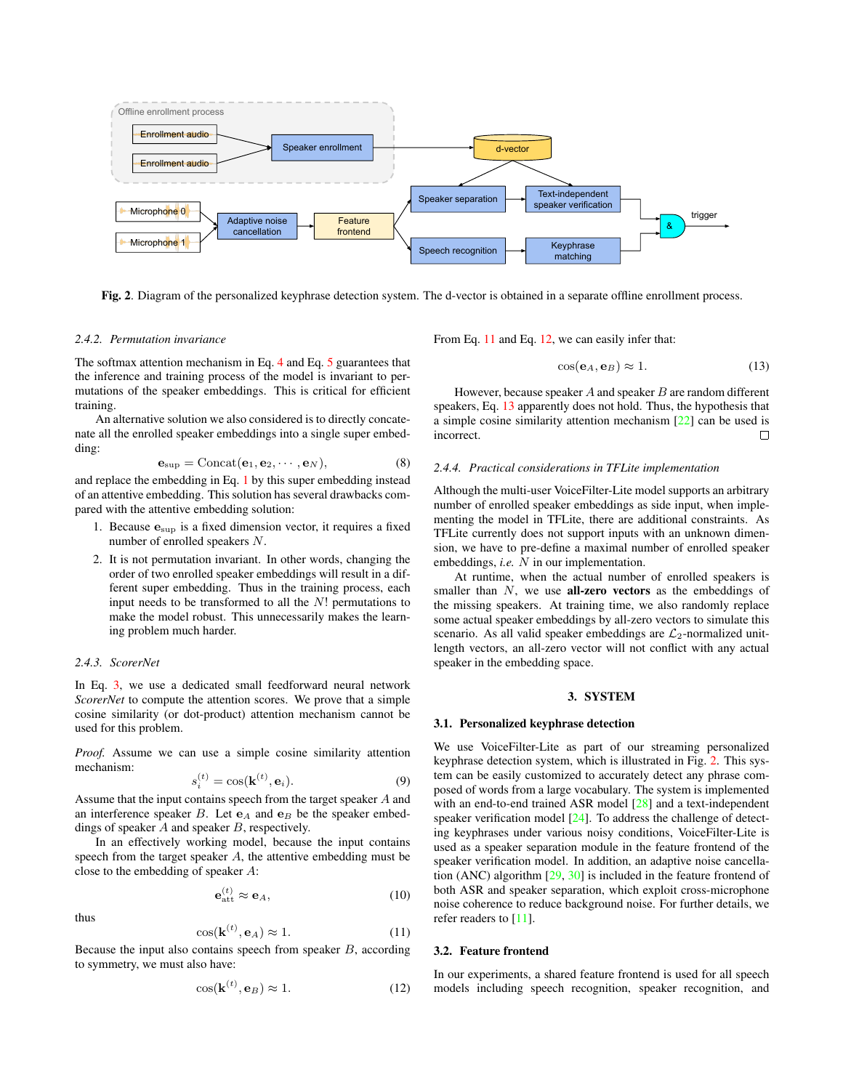

Fig. 2. Diagram of the personalized keyphrase detection system. The d-vector is obtained in a separate offline enrollment process.

### *2.4.2. Permutation invariance*

The softmax attention mechanism in Eq. [4](#page-1-3) and Eq. [5](#page-1-4) guarantees that the inference and training process of the model is invariant to permutations of the speaker embeddings. This is critical for efficient training.

An alternative solution we also considered is to directly concatenate all the enrolled speaker embeddings into a single super embedding:

$$
\mathbf{e}_{\text{sup}} = \text{Concat}(\mathbf{e}_1, \mathbf{e}_2, \cdots, \mathbf{e}_N),\tag{8}
$$

and replace the embedding in Eq. [1](#page-1-1) by this super embedding instead of an attentive embedding. This solution has several drawbacks compared with the attentive embedding solution:

- 1. Because  $\mathbf{e}_{\text{sup}}$  is a fixed dimension vector, it requires a fixed number of enrolled speakers N.
- 2. It is not permutation invariant. In other words, changing the order of two enrolled speaker embeddings will result in a different super embedding. Thus in the training process, each input needs to be transformed to all the  $N!$  permutations to make the model robust. This unnecessarily makes the learning problem much harder.

### *2.4.3. ScorerNet*

In Eq. [3,](#page-1-5) we use a dedicated small feedforward neural network *ScorerNet* to compute the attention scores. We prove that a simple cosine similarity (or dot-product) attention mechanism cannot be used for this problem.

*Proof.* Assume we can use a simple cosine similarity attention mechanism:

$$
s_i^{(t)} = \cos(\mathbf{k}^{(t)}, \mathbf{e}_i). \tag{9}
$$

Assume that the input contains speech from the target speaker A and an interference speaker B. Let  $e_A$  and  $e_B$  be the speaker embeddings of speaker A and speaker B, respectively.

In an effectively working model, because the input contains speech from the target speaker A, the attentive embedding must be close to the embedding of speaker A:

$$
\mathbf{e}_{\text{att}}^{(t)} \approx \mathbf{e}_A,\tag{10}
$$

thus

<span id="page-2-0"></span>
$$
\cos(\mathbf{k}^{(t)}, \mathbf{e}_A) \approx 1. \tag{11}
$$

Because the input also contains speech from speaker  $B$ , according to symmetry, we must also have:

<span id="page-2-1"></span>
$$
\cos(\mathbf{k}^{(t)}, \mathbf{e}_B) \approx 1. \tag{12}
$$

From Eq. [11](#page-2-0) and Eq. [12,](#page-2-1) we can easily infer that:

<span id="page-2-3"></span><span id="page-2-2"></span>
$$
\cos(\mathbf{e}_A, \mathbf{e}_B) \approx 1. \tag{13}
$$

However, because speaker  $A$  and speaker  $B$  are random different speakers, Eq. [13](#page-2-2) apparently does not hold. Thus, the hypothesis that a simple cosine similarity attention mechanism [\[22\]](#page-6-21) can be used is incorrect.  $\Box$ 

### *2.4.4. Practical considerations in TFLite implementation*

Although the multi-user VoiceFilter-Lite model supports an arbitrary number of enrolled speaker embeddings as side input, when implementing the model in TFLite, there are additional constraints. As TFLite currently does not support inputs with an unknown dimension, we have to pre-define a maximal number of enrolled speaker embeddings, *i.e.* N in our implementation.

At runtime, when the actual number of enrolled speakers is smaller than  $N$ , we use **all-zero vectors** as the embeddings of the missing speakers. At training time, we also randomly replace some actual speaker embeddings by all-zero vectors to simulate this scenario. As all valid speaker embeddings are  $\mathcal{L}_2$ -normalized unitlength vectors, an all-zero vector will not conflict with any actual speaker in the embedding space.

### 3. SYSTEM

#### 3.1. Personalized keyphrase detection

We use VoiceFilter-Lite as part of our streaming personalized keyphrase detection system, which is illustrated in Fig. [2.](#page-2-3) This system can be easily customized to accurately detect any phrase composed of words from a large vocabulary. The system is implemented with an end-to-end trained ASR model [\[28\]](#page-6-27) and a text-independent speaker verification model [\[24\]](#page-6-23). To address the challenge of detecting keyphrases under various noisy conditions, VoiceFilter-Lite is used as a speaker separation module in the feature frontend of the speaker verification model. In addition, an adaptive noise cancellation (ANC) algorithm [\[29,](#page-6-28) [30\]](#page-7-0) is included in the feature frontend of both ASR and speaker separation, which exploit cross-microphone noise coherence to reduce background noise. For further details, we refer readers to  $[11]$ .

# 3.2. Feature frontend

In our experiments, a shared feature frontend is used for all speech models including speech recognition, speaker recognition, and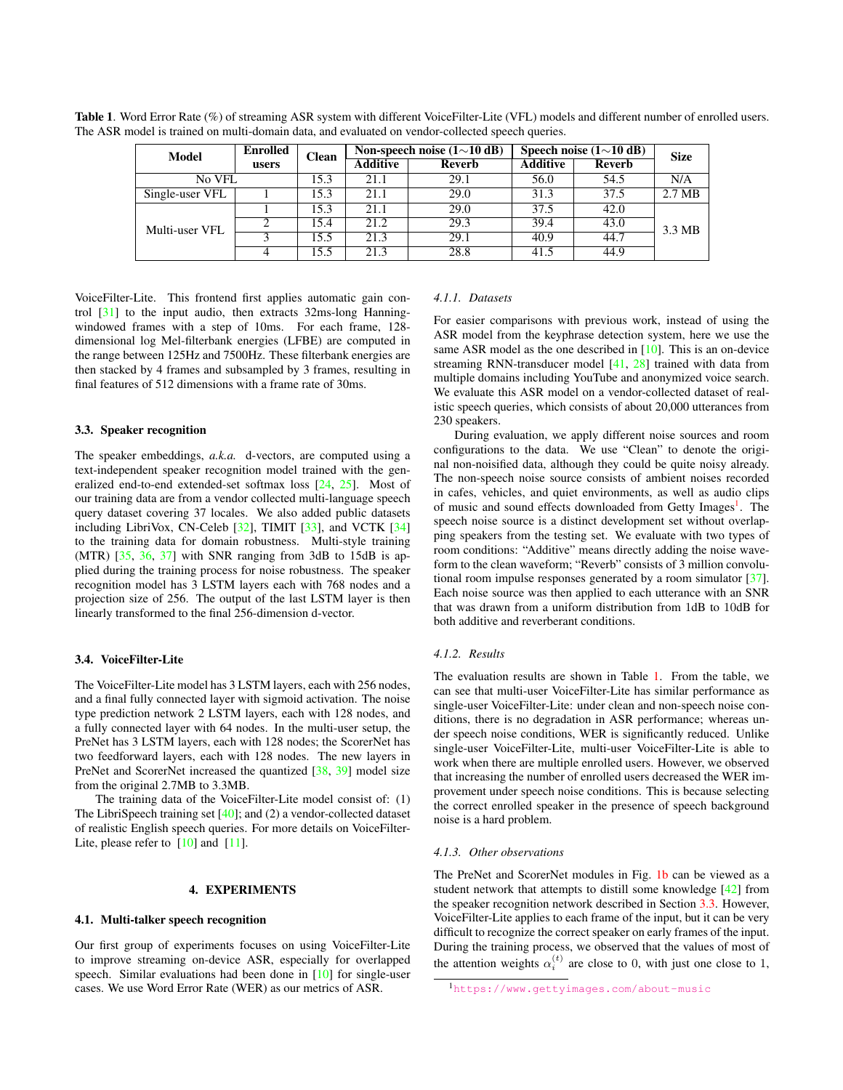| Model           | <b>Enrolled</b> | <b>Clean</b> |          | Non-speech noise $(1{\sim}10 \text{ dB})$ | Speech noise $(1 \sim 10$ dB) | <b>Size</b> |                  |  |
|-----------------|-----------------|--------------|----------|-------------------------------------------|-------------------------------|-------------|------------------|--|
|                 | users           |              | Additive | Reverb                                    | <b>Additive</b>               | Reverb      |                  |  |
| No VFL          |                 | 15.3         | 21.1     | 29.1                                      | 56.0                          | 54.5        | N/A              |  |
| Single-user VFL |                 | 15.3         | 21.1     | 29.0                                      | 31.3                          | 37.5        | $2.7 \text{ MB}$ |  |
| Multi-user VFL  |                 | 15.3         | 21.1     | 29.0                                      | 37.5                          | 42.0        |                  |  |
|                 |                 | 15.4         | 21.2     | 29.3                                      | 39.4                          | 43.0        | 3.3 MB           |  |
|                 |                 | 15.5         | 21.3     | 29.1                                      | 40.9                          | 44.7        |                  |  |
|                 |                 | 15.5         | 21.3     | 28.8                                      | 41.5                          | 44.9        |                  |  |

<span id="page-3-2"></span>Table 1. Word Error Rate (%) of streaming ASR system with different VoiceFilter-Lite (VFL) models and different number of enrolled users. The ASR model is trained on multi-domain data, and evaluated on vendor-collected speech queries.

VoiceFilter-Lite. This frontend first applies automatic gain control [\[31\]](#page-7-1) to the input audio, then extracts 32ms-long Hanningwindowed frames with a step of 10ms. For each frame, 128 dimensional log Mel-filterbank energies (LFBE) are computed in the range between 125Hz and 7500Hz. These filterbank energies are then stacked by 4 frames and subsampled by 3 frames, resulting in final features of 512 dimensions with a frame rate of 30ms.

### <span id="page-3-0"></span>3.3. Speaker recognition

The speaker embeddings, *a.k.a.* d-vectors, are computed using a text-independent speaker recognition model trained with the generalized end-to-end extended-set softmax loss [\[24,](#page-6-23) [25\]](#page-6-24). Most of our training data are from a vendor collected multi-language speech query dataset covering 37 locales. We also added public datasets including LibriVox, CN-Celeb [\[32\]](#page-7-2), TIMIT [\[33\]](#page-7-3), and VCTK [\[34\]](#page-7-4) to the training data for domain robustness. Multi-style training (MTR)  $[35, 36, 37]$  $[35, 36, 37]$  $[35, 36, 37]$  $[35, 36, 37]$  $[35, 36, 37]$  with SNR ranging from 3dB to 15dB is applied during the training process for noise robustness. The speaker recognition model has 3 LSTM layers each with 768 nodes and a projection size of 256. The output of the last LSTM layer is then linearly transformed to the final 256-dimension d-vector.

### 3.4. VoiceFilter-Lite

The VoiceFilter-Lite model has 3 LSTM layers, each with 256 nodes, and a final fully connected layer with sigmoid activation. The noise type prediction network 2 LSTM layers, each with 128 nodes, and a fully connected layer with 64 nodes. In the multi-user setup, the PreNet has 3 LSTM layers, each with 128 nodes; the ScorerNet has two feedforward layers, each with 128 nodes. The new layers in PreNet and ScorerNet increased the quantized [\[38,](#page-7-8) [39\]](#page-7-9) model size from the original 2.7MB to 3.3MB.

The training data of the VoiceFilter-Lite model consist of: (1) The LibriSpeech training set [\[40\]](#page-7-10); and (2) a vendor-collected dataset of realistic English speech queries. For more details on VoiceFilter-Lite, please refer to  $[10]$  and  $[11]$ .

### 4. EXPERIMENTS

### <span id="page-3-3"></span>4.1. Multi-talker speech recognition

Our first group of experiments focuses on using VoiceFilter-Lite to improve streaming on-device ASR, especially for overlapped speech. Similar evaluations had been done in [\[10\]](#page-6-9) for single-user cases. We use Word Error Rate (WER) as our metrics of ASR.

### <span id="page-3-4"></span>*4.1.1. Datasets*

For easier comparisons with previous work, instead of using the ASR model from the keyphrase detection system, here we use the same ASR model as the one described in [\[10\]](#page-6-9). This is an on-device streaming RNN-transducer model [\[41,](#page-7-11) [28\]](#page-6-27) trained with data from multiple domains including YouTube and anonymized voice search. We evaluate this ASR model on a vendor-collected dataset of realistic speech queries, which consists of about 20,000 utterances from 230 speakers.

During evaluation, we apply different noise sources and room configurations to the data. We use "Clean" to denote the original non-noisified data, although they could be quite noisy already. The non-speech noise source consists of ambient noises recorded in cafes, vehicles, and quiet environments, as well as audio clips of music and sound effects downloaded from Getty Images<sup>[1](#page-3-1)</sup>. The speech noise source is a distinct development set without overlapping speakers from the testing set. We evaluate with two types of room conditions: "Additive" means directly adding the noise waveform to the clean waveform; "Reverb" consists of 3 million convolutional room impulse responses generated by a room simulator [\[37\]](#page-7-7). Each noise source was then applied to each utterance with an SNR that was drawn from a uniform distribution from 1dB to 10dB for both additive and reverberant conditions.

### <span id="page-3-5"></span>*4.1.2. Results*

The evaluation results are shown in Table [1.](#page-3-2) From the table, we can see that multi-user VoiceFilter-Lite has similar performance as single-user VoiceFilter-Lite: under clean and non-speech noise conditions, there is no degradation in ASR performance; whereas under speech noise conditions, WER is significantly reduced. Unlike single-user VoiceFilter-Lite, multi-user VoiceFilter-Lite is able to work when there are multiple enrolled users. However, we observed that increasing the number of enrolled users decreased the WER improvement under speech noise conditions. This is because selecting the correct enrolled speaker in the presence of speech background noise is a hard problem.

### *4.1.3. Other observations*

The PreNet and ScorerNet modules in Fig. [1b](#page-1-2) can be viewed as a student network that attempts to distill some knowledge [\[42\]](#page-7-12) from the speaker recognition network described in Section [3.3.](#page-3-0) However, VoiceFilter-Lite applies to each frame of the input, but it can be very difficult to recognize the correct speaker on early frames of the input. During the training process, we observed that the values of most of the attention weights  $\alpha_i^{(t)}$  are close to 0, with just one close to 1,

<span id="page-3-1"></span><sup>1</sup><https://www.gettyimages.com/about-music>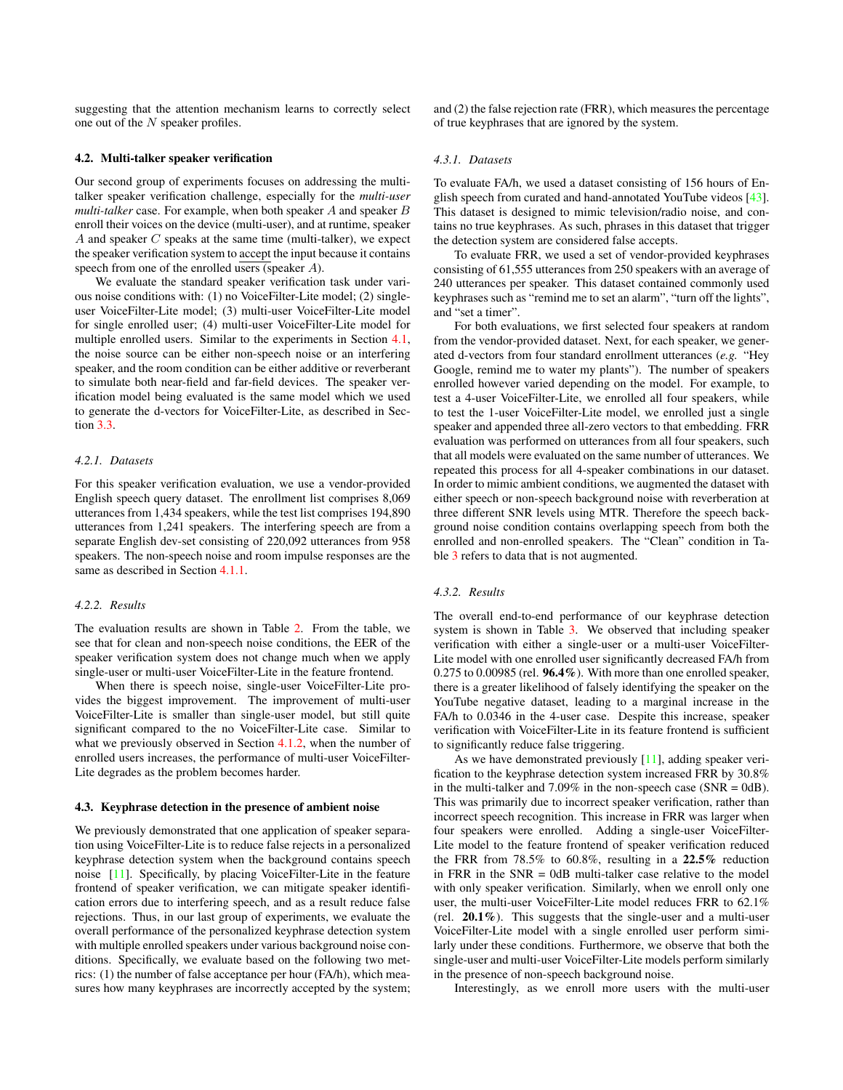suggesting that the attention mechanism learns to correctly select one out of the N speaker profiles.

### 4.2. Multi-talker speaker verification

Our second group of experiments focuses on addressing the multitalker speaker verification challenge, especially for the *multi-user multi-talker* case. For example, when both speaker A and speaker B enroll their voices on the device (multi-user), and at runtime, speaker A and speaker  $C$  speaks at the same time (multi-talker), we expect the speaker verification system to accept the input because it contains speech from one of the enrolled users (speaker A).

We evaluate the standard speaker verification task under various noise conditions with: (1) no VoiceFilter-Lite model; (2) singleuser VoiceFilter-Lite model; (3) multi-user VoiceFilter-Lite model for single enrolled user; (4) multi-user VoiceFilter-Lite model for multiple enrolled users. Similar to the experiments in Section [4.1,](#page-3-3) the noise source can be either non-speech noise or an interfering speaker, and the room condition can be either additive or reverberant to simulate both near-field and far-field devices. The speaker verification model being evaluated is the same model which we used to generate the d-vectors for VoiceFilter-Lite, as described in Section [3.3.](#page-3-0)

### *4.2.1. Datasets*

For this speaker verification evaluation, we use a vendor-provided English speech query dataset. The enrollment list comprises 8,069 utterances from 1,434 speakers, while the test list comprises 194,890 utterances from 1,241 speakers. The interfering speech are from a separate English dev-set consisting of 220,092 utterances from 958 speakers. The non-speech noise and room impulse responses are the same as described in Section [4.1.1.](#page-3-4)

### *4.2.2. Results*

The evaluation results are shown in Table [2.](#page-5-0) From the table, we see that for clean and non-speech noise conditions, the EER of the speaker verification system does not change much when we apply single-user or multi-user VoiceFilter-Lite in the feature frontend.

When there is speech noise, single-user VoiceFilter-Lite provides the biggest improvement. The improvement of multi-user VoiceFilter-Lite is smaller than single-user model, but still quite significant compared to the no VoiceFilter-Lite case. Similar to what we previously observed in Section [4.1.2,](#page-3-5) when the number of enrolled users increases, the performance of multi-user VoiceFilter-Lite degrades as the problem becomes harder.

### 4.3. Keyphrase detection in the presence of ambient noise

We previously demonstrated that one application of speaker separation using VoiceFilter-Lite is to reduce false rejects in a personalized keyphrase detection system when the background contains speech noise [\[11\]](#page-6-10). Specifically, by placing VoiceFilter-Lite in the feature frontend of speaker verification, we can mitigate speaker identification errors due to interfering speech, and as a result reduce false rejections. Thus, in our last group of experiments, we evaluate the overall performance of the personalized keyphrase detection system with multiple enrolled speakers under various background noise conditions. Specifically, we evaluate based on the following two metrics: (1) the number of false acceptance per hour (FA/h), which measures how many keyphrases are incorrectly accepted by the system; and (2) the false rejection rate (FRR), which measures the percentage of true keyphrases that are ignored by the system.

# *4.3.1. Datasets*

To evaluate FA/h, we used a dataset consisting of 156 hours of English speech from curated and hand-annotated YouTube videos [\[43\]](#page-7-13). This dataset is designed to mimic television/radio noise, and contains no true keyphrases. As such, phrases in this dataset that trigger the detection system are considered false accepts.

To evaluate FRR, we used a set of vendor-provided keyphrases consisting of 61,555 utterances from 250 speakers with an average of 240 utterances per speaker. This dataset contained commonly used keyphrases such as "remind me to set an alarm", "turn off the lights", and "set a timer".

For both evaluations, we first selected four speakers at random from the vendor-provided dataset. Next, for each speaker, we generated d-vectors from four standard enrollment utterances (*e.g.* "Hey Google, remind me to water my plants"). The number of speakers enrolled however varied depending on the model. For example, to test a 4-user VoiceFilter-Lite, we enrolled all four speakers, while to test the 1-user VoiceFilter-Lite model, we enrolled just a single speaker and appended three all-zero vectors to that embedding. FRR evaluation was performed on utterances from all four speakers, such that all models were evaluated on the same number of utterances. We repeated this process for all 4-speaker combinations in our dataset. In order to mimic ambient conditions, we augmented the dataset with either speech or non-speech background noise with reverberation at three different SNR levels using MTR. Therefore the speech background noise condition contains overlapping speech from both the enrolled and non-enrolled speakers. The "Clean" condition in Table [3](#page-5-1) refers to data that is not augmented.

### *4.3.2. Results*

The overall end-to-end performance of our keyphrase detection system is shown in Table [3.](#page-5-1) We observed that including speaker verification with either a single-user or a multi-user VoiceFilter-Lite model with one enrolled user significantly decreased FA/h from 0.275 to 0.00985 (rel. 96.4%). With more than one enrolled speaker, there is a greater likelihood of falsely identifying the speaker on the YouTube negative dataset, leading to a marginal increase in the FA/h to 0.0346 in the 4-user case. Despite this increase, speaker verification with VoiceFilter-Lite in its feature frontend is sufficient to significantly reduce false triggering.

As we have demonstrated previously [\[11\]](#page-6-10), adding speaker verification to the keyphrase detection system increased FRR by 30.8% in the multi-talker and  $7.09\%$  in the non-speech case (SNR = 0dB). This was primarily due to incorrect speaker verification, rather than incorrect speech recognition. This increase in FRR was larger when four speakers were enrolled. Adding a single-user VoiceFilter-Lite model to the feature frontend of speaker verification reduced the FRR from 78.5% to 60.8%, resulting in a 22.5% reduction in FRR in the  $SNR = 0$ dB multi-talker case relative to the model with only speaker verification. Similarly, when we enroll only one user, the multi-user VoiceFilter-Lite model reduces FRR to 62.1% (rel. 20.1%). This suggests that the single-user and a multi-user VoiceFilter-Lite model with a single enrolled user perform similarly under these conditions. Furthermore, we observe that both the single-user and multi-user VoiceFilter-Lite models perform similarly in the presence of non-speech background noise.

Interestingly, as we enroll more users with the multi-user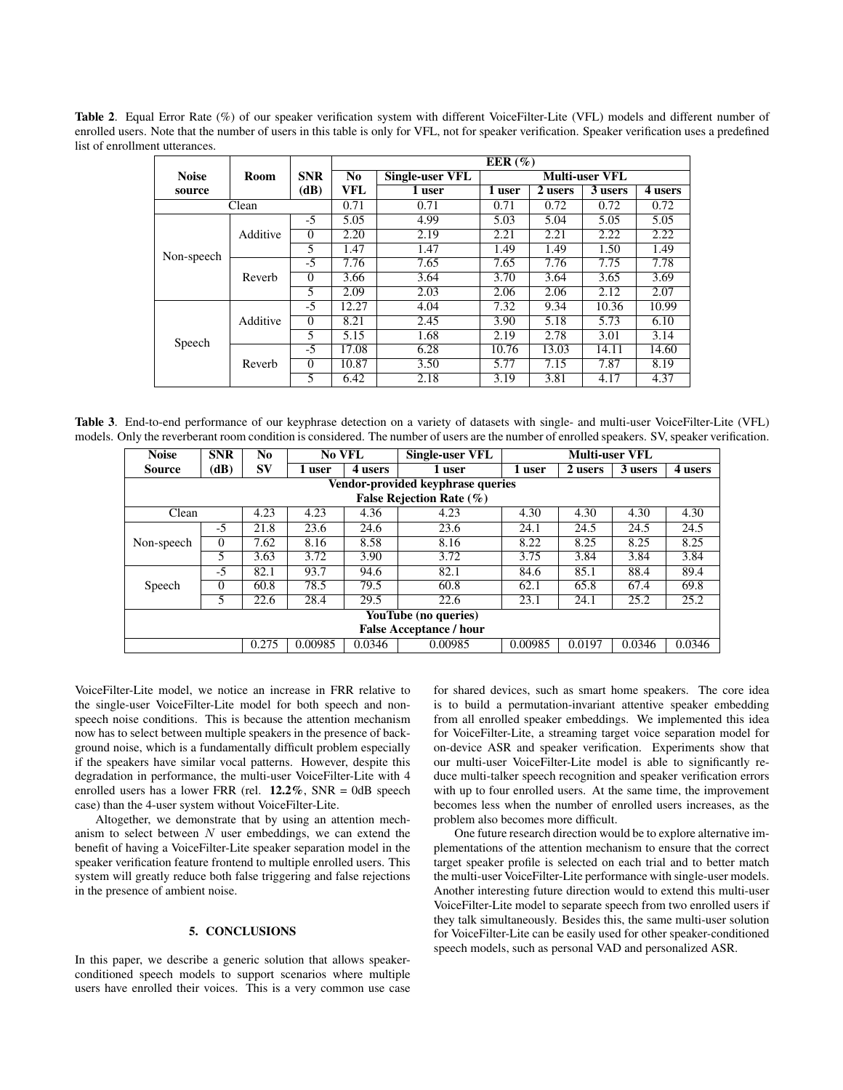<span id="page-5-0"></span>Table 2. Equal Error Rate (%) of our speaker verification system with different VoiceFilter-Lite (VFL) models and different number of enrolled users. Note that the number of users in this table is only for VFL, not for speaker verification. Speaker verification uses a predefined list of enrollment utterances.

|              |          |                    | EER $(\%)$     |                        |                       |         |         |         |  |  |
|--------------|----------|--------------------|----------------|------------------------|-----------------------|---------|---------|---------|--|--|
| <b>Noise</b> | Room     | <b>SNR</b><br>(dB) | N <sub>0</sub> | <b>Single-user VFL</b> | <b>Multi-user VFL</b> |         |         |         |  |  |
| source       |          |                    | VFL            | 1 user                 | 1 user                | 2 users | 3 users | 4 users |  |  |
| Clean        |          |                    | 0.71           | 0.71                   | 0.71                  | 0.72    | 0.72    | 0.72    |  |  |
| Non-speech   | Additive | $-5$               | 5.05           | 4.99                   | 5.03                  | 5.04    | 5.05    | 5.05    |  |  |
|              |          | $\Omega$           | 2.20           | 2.19                   | 2.21                  | 2.21    | 2.22    | 2.22    |  |  |
|              |          | 5                  | 1.47           | 1.47                   | 1.49                  | 1.49    | 1.50    | 1.49    |  |  |
|              | Reverb   | $-5$               | 7.76           | 7.65                   | 7.65                  | 7.76    | 7.75    | 7.78    |  |  |
|              |          | $\Omega$           | 3.66           | 3.64                   | 3.70                  | 3.64    | 3.65    | 3.69    |  |  |
|              |          | 5                  | 2.09           | 2.03                   | 2.06                  | 2.06    | 2.12    | 2.07    |  |  |
| Speech       | Additive | $-5$               | 12.27          | 4.04                   | 7.32                  | 9.34    | 10.36   | 10.99   |  |  |
|              |          | $\Omega$           | 8.21           | 2.45                   | 3.90                  | 5.18    | 5.73    | 6.10    |  |  |
|              |          | 5                  | 5.15           | 1.68                   | 2.19                  | 2.78    | 3.01    | 3.14    |  |  |
|              | Reverb   | $-5$               | 17.08          | 6.28                   | 10.76                 | 13.03   | 14.11   | 14.60   |  |  |
|              |          | $\Omega$           | 10.87          | 3.50                   | 5.77                  | 7.15    | 7.87    | 8.19    |  |  |
|              |          | 5                  | 6.42           | 2.18                   | 3.19                  | 3.81    | 4.17    | 4.37    |  |  |

<span id="page-5-1"></span>Table 3. End-to-end performance of our keyphrase detection on a variety of datasets with single- and multi-user VoiceFilter-Lite (VFL) models. Only the reverberant room condition is considered. The number of users are the number of enrolled speakers. SV, speaker verification.

| <b>Noise</b>                                                         | <b>SNR</b> | N <sub>0</sub> | <b>No VFL</b> |         | Single-user VFL | <b>Multi-user VFL</b> |         |         |         |  |  |
|----------------------------------------------------------------------|------------|----------------|---------------|---------|-----------------|-----------------------|---------|---------|---------|--|--|
| <b>Source</b>                                                        | (dB)       | SV             | 1 user        | 4 users | 1 user          | 1 user                | 2 users | 3 users | 4 users |  |  |
| Vendor-provided keyphrase queries                                    |            |                |               |         |                 |                       |         |         |         |  |  |
| False Rejection Rate $(\% )$                                         |            |                |               |         |                 |                       |         |         |         |  |  |
| Clean                                                                |            | 4.23           | 4.23          | 4.36    | 4.23            | 4.30                  | 4.30    | 4.30    | 4.30    |  |  |
| Non-speech                                                           | $-5$       | 21.8           | 23.6          | 24.6    | 23.6            | 24.1                  | 24.5    | 24.5    | 24.5    |  |  |
|                                                                      | $\Omega$   | 7.62           | 8.16          | 8.58    | 8.16            | 8.22                  | 8.25    | 8.25    | 8.25    |  |  |
|                                                                      | 5          | 3.63           | 3.72          | 3.90    | 3.72            | 3.75                  | 3.84    | 3.84    | 3.84    |  |  |
| Speech                                                               | $-5$       | 82.1           | 93.7          | 94.6    | 82.1            | 84.6                  | 85.1    | 88.4    | 89.4    |  |  |
|                                                                      | $\Omega$   | 60.8           | 78.5          | 79.5    | 60.8            | 62.1                  | 65.8    | 67.4    | 69.8    |  |  |
|                                                                      | 5          | 22.6           | 28.4          | 29.5    | 22.6            | 23.1                  | 24.1    | 25.2    | 25.2    |  |  |
| YouTube (no queries)                                                 |            |                |               |         |                 |                       |         |         |         |  |  |
| <b>False Acceptance / hour</b>                                       |            |                |               |         |                 |                       |         |         |         |  |  |
| 0.275<br>0.00985<br>0.00985<br>0.0346<br>0.0197<br>0.0346<br>0.00985 |            |                |               |         |                 | 0.0346                |         |         |         |  |  |

VoiceFilter-Lite model, we notice an increase in FRR relative to the single-user VoiceFilter-Lite model for both speech and nonspeech noise conditions. This is because the attention mechanism now has to select between multiple speakers in the presence of background noise, which is a fundamentally difficult problem especially if the speakers have similar vocal patterns. However, despite this degradation in performance, the multi-user VoiceFilter-Lite with 4 enrolled users has a lower FRR (rel.  $12.2\%$ , SNR = 0dB speech case) than the 4-user system without VoiceFilter-Lite.

Altogether, we demonstrate that by using an attention mechanism to select between  $N$  user embeddings, we can extend the benefit of having a VoiceFilter-Lite speaker separation model in the speaker verification feature frontend to multiple enrolled users. This system will greatly reduce both false triggering and false rejections in the presence of ambient noise.

## 5. CONCLUSIONS

In this paper, we describe a generic solution that allows speakerconditioned speech models to support scenarios where multiple users have enrolled their voices. This is a very common use case for shared devices, such as smart home speakers. The core idea is to build a permutation-invariant attentive speaker embedding from all enrolled speaker embeddings. We implemented this idea for VoiceFilter-Lite, a streaming target voice separation model for on-device ASR and speaker verification. Experiments show that our multi-user VoiceFilter-Lite model is able to significantly reduce multi-talker speech recognition and speaker verification errors with up to four enrolled users. At the same time, the improvement becomes less when the number of enrolled users increases, as the problem also becomes more difficult.

One future research direction would be to explore alternative implementations of the attention mechanism to ensure that the correct target speaker profile is selected on each trial and to better match the multi-user VoiceFilter-Lite performance with single-user models. Another interesting future direction would to extend this multi-user VoiceFilter-Lite model to separate speech from two enrolled users if they talk simultaneously. Besides this, the same multi-user solution for VoiceFilter-Lite can be easily used for other speaker-conditioned speech models, such as personal VAD and personalized ASR.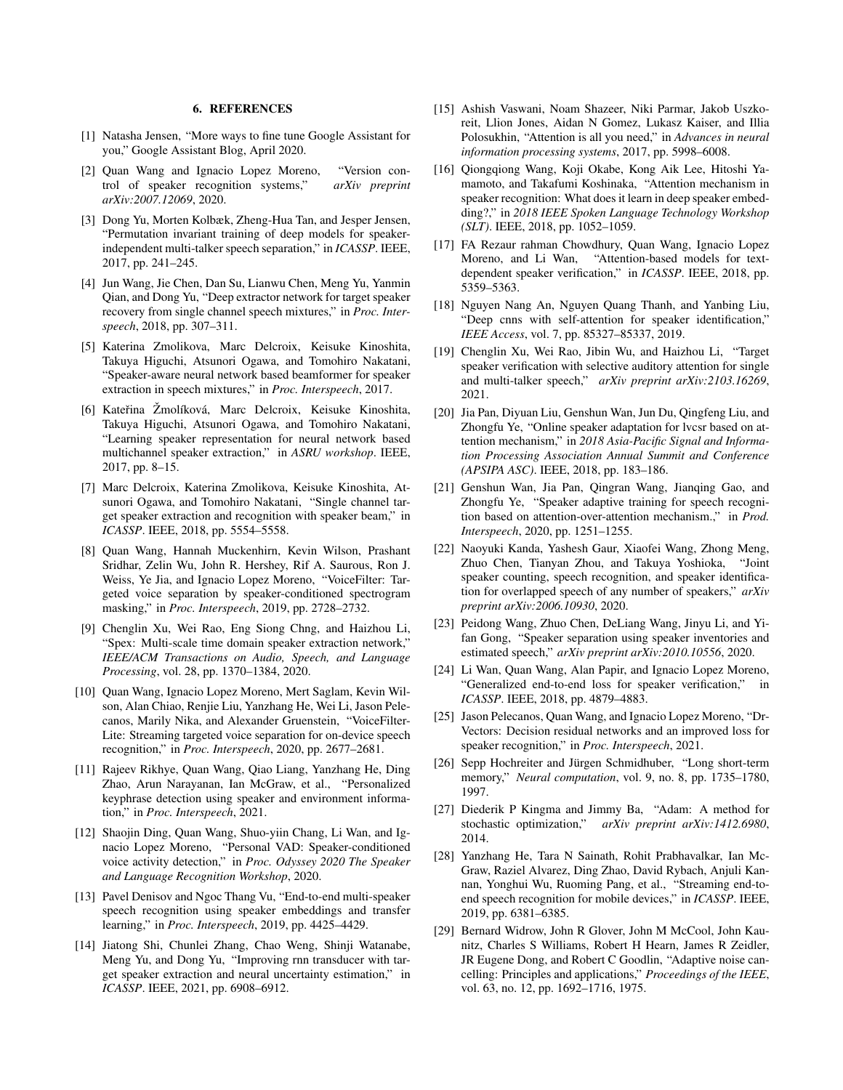### 6. REFERENCES

- <span id="page-6-0"></span>[1] Natasha Jensen, "More ways to fine tune Google Assistant for you," Google Assistant Blog, April 2020.
- <span id="page-6-1"></span>[2] Quan Wang and Ignacio Lopez Moreno, "Version control of speaker recognition systems," *arXiv preprint arXiv:2007.12069*, 2020.
- <span id="page-6-2"></span>[3] Dong Yu, Morten Kolbæk, Zheng-Hua Tan, and Jesper Jensen, "Permutation invariant training of deep models for speakerindependent multi-talker speech separation," in *ICASSP*. IEEE, 2017, pp. 241–245.
- <span id="page-6-3"></span>[4] Jun Wang, Jie Chen, Dan Su, Lianwu Chen, Meng Yu, Yanmin Qian, and Dong Yu, "Deep extractor network for target speaker recovery from single channel speech mixtures," in *Proc. Interspeech*, 2018, pp. 307–311.
- <span id="page-6-4"></span>[5] Katerina Zmolikova, Marc Delcroix, Keisuke Kinoshita, Takuya Higuchi, Atsunori Ogawa, and Tomohiro Nakatani, "Speaker-aware neural network based beamformer for speaker extraction in speech mixtures," in *Proc. Interspeech*, 2017.
- <span id="page-6-5"></span>[6] Kateřina Žmolíková, Marc Delcroix, Keisuke Kinoshita, Takuya Higuchi, Atsunori Ogawa, and Tomohiro Nakatani, "Learning speaker representation for neural network based multichannel speaker extraction," in *ASRU workshop*. IEEE, 2017, pp. 8–15.
- <span id="page-6-6"></span>[7] Marc Delcroix, Katerina Zmolikova, Keisuke Kinoshita, Atsunori Ogawa, and Tomohiro Nakatani, "Single channel target speaker extraction and recognition with speaker beam," in *ICASSP*. IEEE, 2018, pp. 5554–5558.
- <span id="page-6-7"></span>[8] Quan Wang, Hannah Muckenhirn, Kevin Wilson, Prashant Sridhar, Zelin Wu, John R. Hershey, Rif A. Saurous, Ron J. Weiss, Ye Jia, and Ignacio Lopez Moreno, "VoiceFilter: Targeted voice separation by speaker-conditioned spectrogram masking," in *Proc. Interspeech*, 2019, pp. 2728–2732.
- <span id="page-6-8"></span>[9] Chenglin Xu, Wei Rao, Eng Siong Chng, and Haizhou Li, "Spex: Multi-scale time domain speaker extraction network," *IEEE/ACM Transactions on Audio, Speech, and Language Processing*, vol. 28, pp. 1370–1384, 2020.
- <span id="page-6-9"></span>[10] Quan Wang, Ignacio Lopez Moreno, Mert Saglam, Kevin Wilson, Alan Chiao, Renjie Liu, Yanzhang He, Wei Li, Jason Pelecanos, Marily Nika, and Alexander Gruenstein, "VoiceFilter-Lite: Streaming targeted voice separation for on-device speech recognition," in *Proc. Interspeech*, 2020, pp. 2677–2681.
- <span id="page-6-10"></span>[11] Rajeev Rikhye, Quan Wang, Qiao Liang, Yanzhang He, Ding Zhao, Arun Narayanan, Ian McGraw, et al., "Personalized keyphrase detection using speaker and environment information," in *Proc. Interspeech*, 2021.
- <span id="page-6-11"></span>[12] Shaojin Ding, Quan Wang, Shuo-yiin Chang, Li Wan, and Ignacio Lopez Moreno, "Personal VAD: Speaker-conditioned voice activity detection," in *Proc. Odyssey 2020 The Speaker and Language Recognition Workshop*, 2020.
- <span id="page-6-12"></span>[13] Pavel Denisov and Ngoc Thang Vu, "End-to-end multi-speaker speech recognition using speaker embeddings and transfer learning," in *Proc. Interspeech*, 2019, pp. 4425–4429.
- <span id="page-6-13"></span>[14] Jiatong Shi, Chunlei Zhang, Chao Weng, Shinji Watanabe, Meng Yu, and Dong Yu, "Improving rnn transducer with target speaker extraction and neural uncertainty estimation," in *ICASSP*. IEEE, 2021, pp. 6908–6912.
- <span id="page-6-14"></span>[15] Ashish Vaswani, Noam Shazeer, Niki Parmar, Jakob Uszkoreit, Llion Jones, Aidan N Gomez, Lukasz Kaiser, and Illia Polosukhin, "Attention is all you need," in *Advances in neural information processing systems*, 2017, pp. 5998–6008.
- <span id="page-6-15"></span>[16] Qiongqiong Wang, Koji Okabe, Kong Aik Lee, Hitoshi Yamamoto, and Takafumi Koshinaka, "Attention mechanism in speaker recognition: What does it learn in deep speaker embedding?," in *2018 IEEE Spoken Language Technology Workshop (SLT)*. IEEE, 2018, pp. 1052–1059.
- <span id="page-6-16"></span>[17] FA Rezaur rahman Chowdhury, Quan Wang, Ignacio Lopez Moreno, and Li Wan, "Attention-based models for textdependent speaker verification," in *ICASSP*. IEEE, 2018, pp. 5359–5363.
- <span id="page-6-17"></span>[18] Nguyen Nang An, Nguyen Quang Thanh, and Yanbing Liu, "Deep cnns with self-attention for speaker identification," *IEEE Access*, vol. 7, pp. 85327–85337, 2019.
- <span id="page-6-18"></span>[19] Chenglin Xu, Wei Rao, Jibin Wu, and Haizhou Li, "Target speaker verification with selective auditory attention for single and multi-talker speech," *arXiv preprint arXiv:2103.16269*, 2021.
- <span id="page-6-19"></span>[20] Jia Pan, Diyuan Liu, Genshun Wan, Jun Du, Qingfeng Liu, and Zhongfu Ye, "Online speaker adaptation for lvcsr based on attention mechanism," in *2018 Asia-Pacific Signal and Information Processing Association Annual Summit and Conference (APSIPA ASC)*. IEEE, 2018, pp. 183–186.
- <span id="page-6-20"></span>[21] Genshun Wan, Jia Pan, Qingran Wang, Jianqing Gao, and Zhongfu Ye, "Speaker adaptive training for speech recognition based on attention-over-attention mechanism.," in *Prod. Interspeech*, 2020, pp. 1251–1255.
- <span id="page-6-21"></span>[22] Naoyuki Kanda, Yashesh Gaur, Xiaofei Wang, Zhong Meng, Zhuo Chen, Tianyan Zhou, and Takuya Yoshioka, "Joint speaker counting, speech recognition, and speaker identification for overlapped speech of any number of speakers," *arXiv preprint arXiv:2006.10930*, 2020.
- <span id="page-6-22"></span>[23] Peidong Wang, Zhuo Chen, DeLiang Wang, Jinyu Li, and Yifan Gong, "Speaker separation using speaker inventories and estimated speech," *arXiv preprint arXiv:2010.10556*, 2020.
- <span id="page-6-23"></span>[24] Li Wan, Quan Wang, Alan Papir, and Ignacio Lopez Moreno, "Generalized end-to-end loss for speaker verification," in *ICASSP*. IEEE, 2018, pp. 4879–4883.
- <span id="page-6-24"></span>[25] Jason Pelecanos, Quan Wang, and Ignacio Lopez Moreno, "Dr-Vectors: Decision residual networks and an improved loss for speaker recognition," in *Proc. Interspeech*, 2021.
- <span id="page-6-25"></span>[26] Sepp Hochreiter and Jürgen Schmidhuber, "Long short-term memory," *Neural computation*, vol. 9, no. 8, pp. 1735–1780, 1997.
- <span id="page-6-26"></span>[27] Diederik P Kingma and Jimmy Ba, "Adam: A method for stochastic optimization," *arXiv preprint arXiv:1412.6980*, 2014.
- <span id="page-6-27"></span>[28] Yanzhang He, Tara N Sainath, Rohit Prabhavalkar, Ian Mc-Graw, Raziel Alvarez, Ding Zhao, David Rybach, Anjuli Kannan, Yonghui Wu, Ruoming Pang, et al., "Streaming end-toend speech recognition for mobile devices," in *ICASSP*. IEEE, 2019, pp. 6381–6385.
- <span id="page-6-28"></span>[29] Bernard Widrow, John R Glover, John M McCool, John Kaunitz, Charles S Williams, Robert H Hearn, James R Zeidler, JR Eugene Dong, and Robert C Goodlin, "Adaptive noise cancelling: Principles and applications," *Proceedings of the IEEE*, vol. 63, no. 12, pp. 1692–1716, 1975.